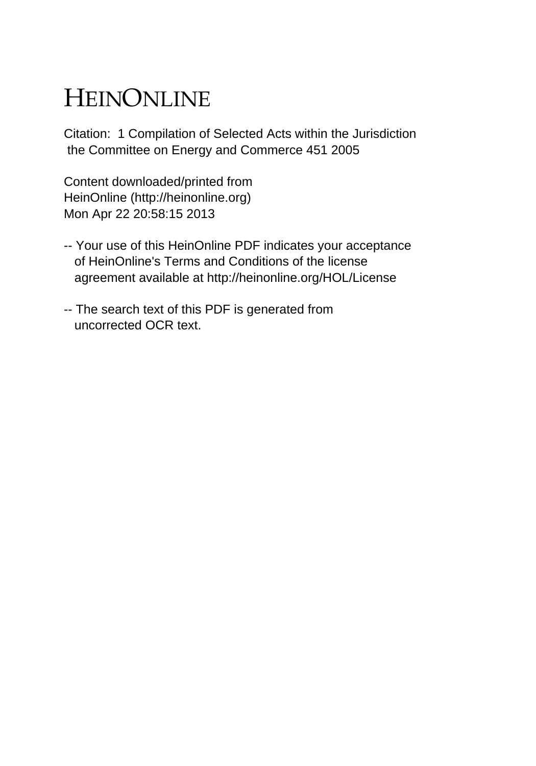# HEINONLINE

Citation: 1 Compilation of Selected Acts within the Jurisdiction the Committee on Energy and Commerce 451 2005

Content downloaded/printed from HeinOnline (http://heinonline.org) Mon Apr 22 20:58:15 2013

- -- Your use of this HeinOnline PDF indicates your acceptance of HeinOnline's Terms and Conditions of the license agreement available at http://heinonline.org/HOL/License
- -- The search text of this PDF is generated from uncorrected OCR text.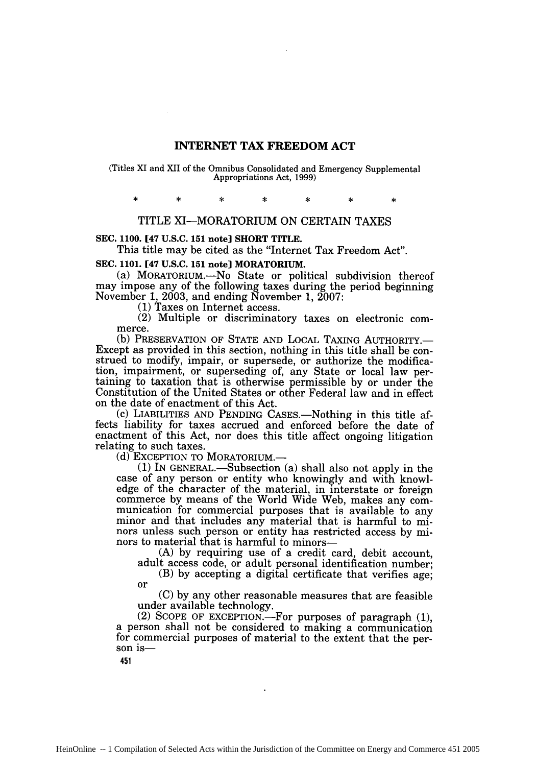### **INTERNET TAX FREEDOM ACT**

### (Titles XI and XII of the Omnibus Consolidated and Emergency Supplemental Appropriations Act, 1999)

 $\ast$  $\Delta$  $\star$ 

### TITLE XI-MORATORIUM ON CERTAIN TAXES

**SEC. 1100.** [47 **U.S.C. 151 note] SHORT** TITLE.

This title may be cited as the "Internet Tax Freedom Act".

### **SEC. 1101.** [47 **U.S.C. 151** note] MORATORIUM.

(a) MORATORIUM.—No State or political subdivision thereof may impose any of the following taxes during the period beginning may impose any of the following taxes during the period beginning November 1, 2003, and ending November 1, 2007:

(1) Taxes on Internet access.

(2) Multiple or discriminatory taxes on electronic commerce.

(b) PRESERVATION OF STATE AND LOCAL TAXING AUTHORITY.-Except as provided in this section, nothing in this title shall be construed to modify, impair, or supersede, or authorize the modificataining to taxation that is otherwise permissible by or under the Constitution of the United States or other Federal law and in effect on the date of enactment of this Act.

(c) LIABILITIES AND PENDING CASES.-Nothing in this title affects liability for taxes accrued and enforced before the date of enactment of this Act, nor does this title affect ongoing litigation relating to such taxes.

(d) EXCEPTION TO MORATORIUM.-

(1) IN GENERAL.-Subsection (a) shall also not apply in the case of any person or entity who knowingly and with knowledge of the character of the material, in interstate or foreign commerce by means of the World Wide Web, makes any communication for commercial purposes that is available to any minor and that includes any material that is harmful to minors unless such person or entity has restricted access by minors to material that is harmful to minors-

(A) by requiring use of a credit card, debit account, adult access code, or adult personal identification number;

(B) by accepting a digital certificate that verifies age; or

(C) by any other reasonable measures that are feasible under available technology.

(2) SCOPE OF EXCEPTION.—For purposes of paragraph  $(1)$ , a person shall not be considered to making a communication for commercial purposes of material to the extent that the person is-

451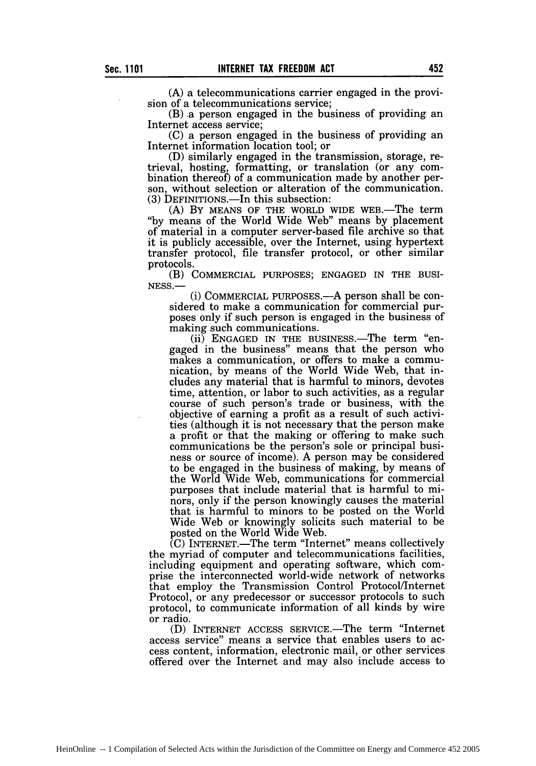(A) a telecommunications carrier engaged in the provision of a telecommunications service;

(B) a person engaged in the business of providing an Internet access service;

(C) a person engaged in the business of providing an Internet information location tool; or

(D) similarly engaged in the transmission, storage, retrieval, hosting, formatting, or translation (or any combination thereof) of a communication made by another person, without selection or alteration of the communication. (3) DEFINITIONS.—In this subsection:

(A) BY MEANS OF THE WORLD WIDE WEB.-The term **"by** means of the World Wide Web" means by placement of material in a computer server-based file archive so that it is publicly accessible, over the Internet, using hypertext transfer protocol, file transfer protocol, or other similar protocols.

(B) COMMERCIAL PURPOSES; ENGAGED IN THE BUSI-NESS.-

(i) COMMERCIAL PURPOSES.-A person shall be considered to make a communication for commercial purposes only if such person is engaged in the business of making such communications.

 $(ii)$  ENGAGED IN THE BUSINESS.—The term "engaged in the business" means that the person who makes a communication, or offers to make a communication, by means of the World Wide Web, that includes any material that is harmful to minors, devotes time, attention, or labor to such activities, as a regular course of such person's trade or business, with the objective of earning a profit as a result of such activities (although it is not necessary that the person make a profit or that the making or offering to make such communications be the person's sole or principal business or source of income). A person may be considered to be engaged in the business of making, by means of the World Wide Web, communications for commercial purposes that include material that is harmful to minors, only if the person knowingly causes the material that is harmful to minors to be posted on the World Wide Web or knowingly solicits such material to be posted on the World Wide Web.

(C) INTERNET.-The term "Internet" means collectively the myriad of computer and telecommunications facilities, including equipment and operating software, which comprise the interconnected world-wide network of networks that employ the Transmission Control Protocol/Internet Protocol, or any predecessor or successor protocols to such protocol, to communicate information of all kinds by wire or radio.

(D) INTERNET ACCESS SERVICE.—The term "Internet" access service" means a service that enables users to access content, information, electronic mail, or other services offered over the Internet and may also include access to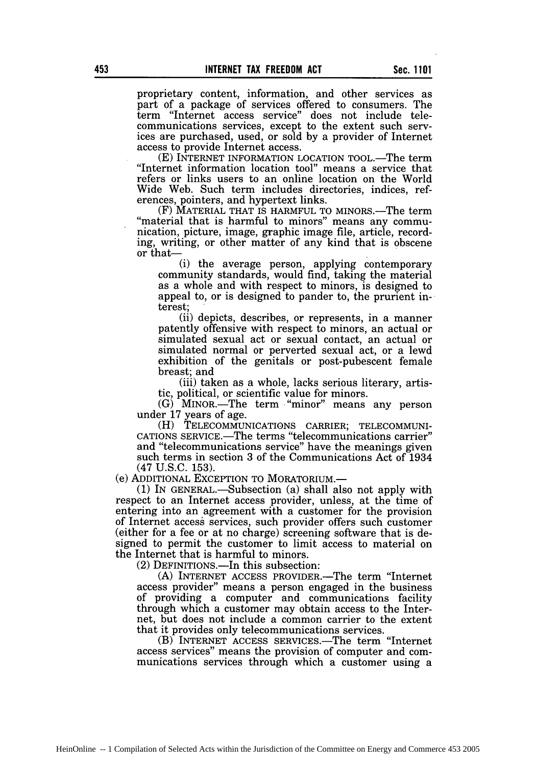proprietary content, information, and other services as part of a package of services offered to consumers. The term "Internet access service" does not include telecommunications services, except to the extent such services are purchased, used, or sold by a provider of Internet access to provide Internet access.

(E) INTERNET INFORMATION LOCATION TOOL.-The term "Internet information location tool" means a service that refers or links users to an online location on the World Wide Web. Such term includes directories, indices, references, pointers, and hypertext links.

(F) MATERIAL THAT IS HARMFUL TO MINORS.-The term "material that is harmful to minors" means any communication, picture, image, graphic image file, article, recording, writing, or other matter of any kind that is obscene or that-

(i) the average person, applying contemporary community standards, would find, taking the material as a whole and with respect to minors, is designed to appeal to, or is designed to pander to, the prurient interest;

(ii) depicts, describes, or represents, in a manner patently offensive with respect to minors, an actual or simulated sexual act or sexual contact, an actual or simulated normal or perverted sexual act, or a lewd exhibition of the genitals or post-pubescent female breast; and

(iii) taken as a whole, lacks serious literary, artistic, political, or scientific value for minors.

(G) MINOR.-The term "minor" means any person under 17 years of age.

(H) TELECOMMUNICATIONS CARRIER; TELECOMMUNI-CATIONS SERVICE.—The terms "telecommunications carrier" and "telecommunications service" have the meanings given such terms in section 3 of the Communications Act of 1934 (47 U.S.C. 153).

(e) ADDITIONAL EXCEPTION TO MORATORIUM.-

(1) IN GENERAL.-Subsection (a) shall also not apply with respect to an Internet access provider, unless, at the time of entering into an agreement with a customer for the provision of Internet access services, such provider offers such customer (either for a fee or at no charge) screening software that is designed to permit the customer to limit access to material on the Internet that is harmful to minors.

(2) DEFINITIONS.—In this subsection:

(A) INTERNET ACCESS PROVIDER.-The term "Internet access provider" means a person engaged in the business of providing a computer and communications facility through which a customer may obtain access to the Internet, but does not include a common carrier to the extent that it provides only telecommunications services.

(B) INTERNET ACCESS SERVICES.—The term "Internet access services" means the provision of computer and communications services through which a customer using a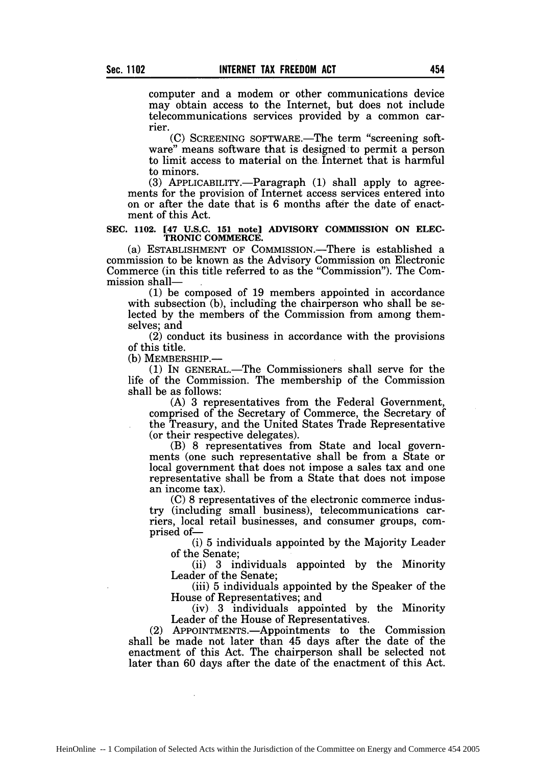computer and a modem or other communications device may obtain access to the Internet, but does not include telecommunications services provided by a common carrier.

C) SCREENING SOFTWARE.—The term "screening software" means software that is designed to permit a person to limit access to material on the Internet that is harmful to minors.

(3) APPLICABILITY.--Paragraph  $(1)$  shall apply to agreements for the provision of Internet access services entered into on or after the date that is 6 months after the date of enactment of this Act.

# **SEC. 1102. [47 U.S.C. 151 note]** ADVISORY **COMMISSION ON ELEC-TRONIC COMMERCE.**

(a) ESTABLISHMENT OF COMMISSION.—There is established a commission to be known as the Advisory Commission on Electronic Commerce (in this title referred to as the "Commission"). The Commission shall-

**(1)** be composed of 19 members appointed in accordance with subsection **(b),** including the chairperson who shall be selected **by** the members of the Commission from among themselves; and

(2) conduct its business in accordance with the provisions of this title.

(b) MEMBERSHIP.-

(1) IN GENERAL.-The Commissioners shall serve for the life of the Commission. The membership of the Commission shall be as follows:

(A) 3 representatives from the Federal Government, comprised of the Secretary of Commerce, the Secretary of the Treasury, and the United States Trade Representative

(B) 8 representatives from State and local governments (one such representative shall be from a State or local government that does not impose a sales tax and one representative shall be from a State that does not impose an income tax).

(C) 8 representatives of the electronic commerce industry (including small business), telecommunications carriers, local retail businesses, and consumer groups, comprised of-

(i) 5 individuals appointed by the Majority Leader of the Senate;

(ii) 3 individuals appointed by the Minority Leader of the Senate;

(iii) 5 individuals appointed by the Speaker of the House of Representatives; and

(iv) 3 individuals appointed by the Minority Leader of the House of Representatives.

(2) APPOINTMENTS.-Appointments to the Commission shall be made not later than 45 days after the date of the enactment of this Act. The chairperson shall be selected not later than 60 days after the date of the enactment of this Act.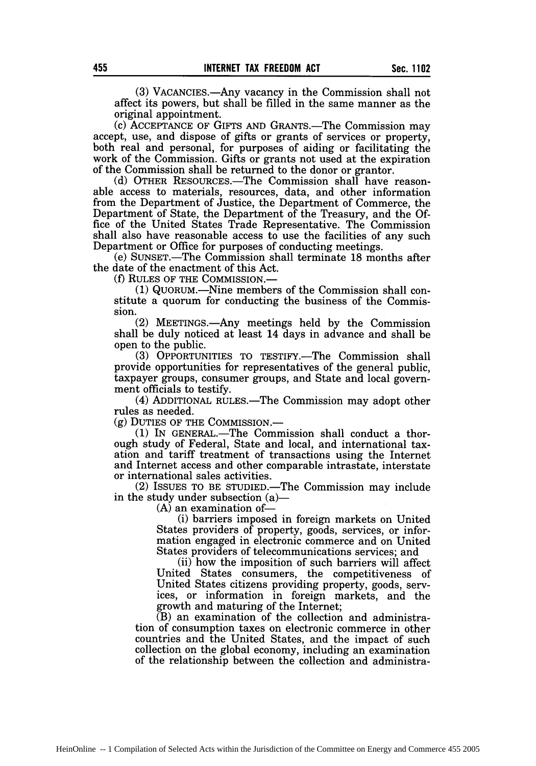(3) VACANCIES.-Any vacancy in the Commission shall not affect its powers, but shall be filled in the same manner as the original appointment.

(c) ACCEPTANCE OF GIFTS AND GRANTS.-The Commission may accept, use, and dispose of gifts or grants of services or property, both real and personal, for purposes of aiding or facilitating the work of the Commission. Gifts or grants not used at the expiration of the Commission shall be returned to the donor or grantor.

(d) OTHER RESOURCES.—The Commission shall have reasonable access to materials, resources, data, and other information from the Department of Justice, the Department of Commerce, the Department of State, the Department of the Treasury, and the Office of the United States Trade Representative. The Commission shall also have reasonable access to use the facilities of any such Department or Office for purposes of conducting meetings.

(e) SUNSET.-The Commission shall terminate 18 months after the date of the enactment of this Act.

(f) RULES OF THE COMMISSION.-

(1) QUORUM.-Nine members of the Commission shall constitute a quorum for conducting the business of the Commission.

(2) MEETINGS.-Any meetings held by the Commission shall be duly noticed at least 14 days in advance and shall be open to the public.

(3) OPPORTUNITIES TO TESTIFY.-The Commission shall provide opportunities for representatives of the general public, taxpayer groups, consumer groups, and State and local government officials to testify.

(4) ADDITIONAL RULES.—The Commission may adopt other rules as needed.

(g) DUTIES OF THE COMMISSION.-

(1) IN GENERAL.-The Commission shall conduct a thorough study of Federal, State and local, and international taxation and tariff treatment of transactions using the Internet and Internet access and other comparable intrastate, interstate or international sales activities.

(2) ISSUES TO BE STUDIED.-The Commission may include in the study under subsection  $(a)$ —

(A) an examination of-

(i) barriers imposed in foreign markets on United States providers of property, goods, services, or information engaged in electronic commerce and on United States providers of telecommunications services; and

(ii) how the imposition of such barriers will affect United States consumers, the competitiveness of United States citizens providing property, goods, services, or information in foreign markets, and the growth and maturing of the Internet;

(B) an examination of the collection and administration of consumption taxes on electronic commerce in other countries and the United States, and the impact of such collection on the global economy, including an examination of the relationship between the collection and administra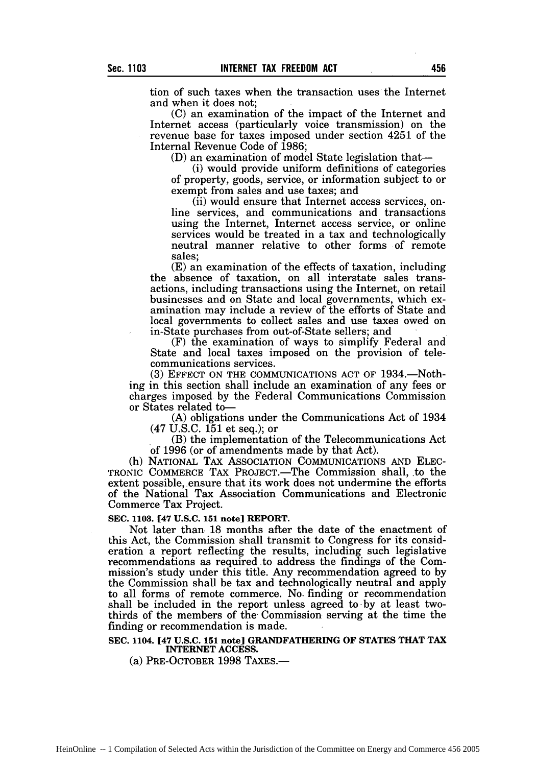tion of such taxes when the transaction uses the Internet and when it does not;

(C) an examination of the impact of the Internet and Internet access (particularly voice transmission) on the revenue base for taxes imposed under section 4251 of the Internal Revenue Code of 1986;

(D) an examination of model State legislation that-

(i) would provide uniform definitions of categories of property, goods, service, or information subject to or exempt from sales and use taxes; and

(ii) would ensure that Internet access services, online services, and communications and transactions using the Internet, Internet access service, or online services would be treated in a tax and technologically neutral manner relative to other forms of remote sales;

(E) an examination of the effects of taxation, including the absence of taxation, on all interstate sales transactions, including transactions using the Internet, on retail businesses and on State and local governments, which examination may include a review of the efforts of State and local governments to collect sales and use taxes owed on in-State purchases from out-of-State sellers; and

(F) the examination of ways to simplify Federal and State and local taxes imposed on the provision of telecommunications services.

(3) EFFECT ON THE COMMUNICATIONS ACT OF 1934. Nothing in this section shall include an examination of any fees or charges imposed by the Federal Communications Commission or States related to-

(A) obligations under the Communications Act of 1934 (47 U.S.C. 151 et seq.); or

(B) the implementation of the Telecommunications Act of 1996 (or of amendments made by that Act).

(h) NATIONAL TAx ASSOCIATION COMMUNICATIONS AND ELEC-TRONIC COMMERCE TAX PROJECT.—The Commission shall, to the extent possible, ensure that its work does not undermine the efforts of the National Tax Association Communications and Electronic Commerce Tax Project.

### **SEC. 1103. [47 U.S.C. 151 note] REPORT.**

Not later than. **18** months after the date of the enactment of this Act, the Commission shall transmit to Congress for its consideration a report reflecting the results, including such legislative recommendations as required to address the findings of the Commission's study under this title. Any recommendation agreed to **by** the Commission shall be tax and technologically neutral and apply to all forms of remote commerce. No. finding or recommendation shall be included in the report unless agreed to by at least twothirds of the members of the Commission serving at the time the finding or recommendation is made.

### **SEC. 1104. [47 U.S.C. 151 note] GRANDFATHERING OF STATES THAT TAX INTERNET ACCESS.**

(a) PRE-OCTOBER 1998 TAXES.-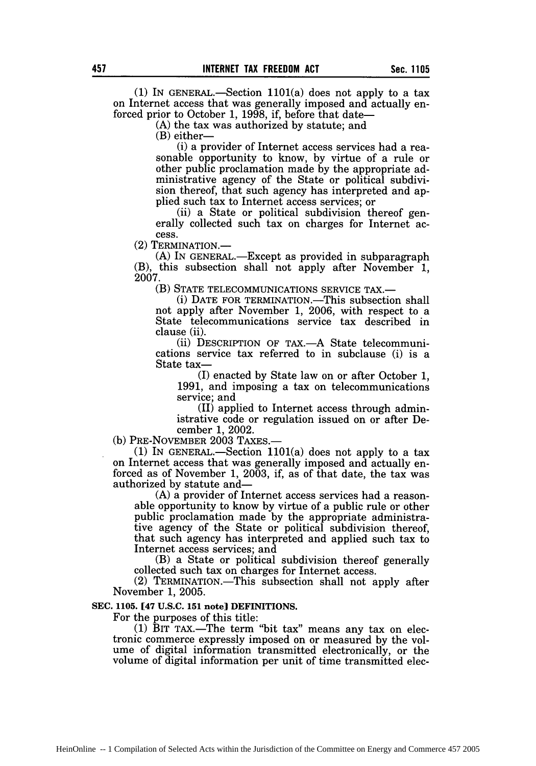(1) IN GENERAL.—Section  $1101(a)$  does not apply to a tax on Internet access that was generally imposed and actually enforced prior to October 1, 1998, if, before that date-

(A) the tax was authorized by statute; and

 $(B)$  either-

(i) a provider of Internet access services had a reasonable opportunity to know, by virtue of a rule or other public proclamation made by the appropriate administrative agency of the State or political subdivision thereof, that such agency has interpreted and applied such tax to Internet access services; or

(ii) a State or political subdivision thereof generally collected such tax on charges for Internet access.

(2) TERMINATION.-

(A) In GENERAL.—Except as provided in subparagraph (B), this subsection shall not apply after November 1, 2007.

(B) STATE TELECOMMUNICATIONS SERVICE TAX.-

(i) DATE FOR TERMINATION.—This subsection shall not apply after November 1, 2006, with respect to a State telecommunications service tax described in clause (ii).

(ii) DESCRIPTION OF TAX.-A State telecommunications service tax referred to in subclause (i) is a State tax-

(I) enacted by State law on or after October 1, 1991, and imposing a tax on telecommunications service; and

(II) applied to Internet access through administrative code or regulation issued on or after December 1, 2002.

(b) PRE-NOVEMBER 2003 TAXES.-

(1) IN GENERAL.-Section  $1101(a)$  does not apply to a tax on Internet access that was generally imposed and actually enforced as of November 1, 2003, if, as of that date, the tax was authorized by statute and—

(A) a provider of Internet access services had a reasonable opportunity to know by virtue of a public rule or other public proclamation made by the appropriate administrative agency of the State or political subdivision thereof, that such agency has interpreted and applied such tax to Internet access services; and

(B) a State or political subdivision thereof generally collected such tax on charges for Internet access.

(2) TERMINATION.-This subsection shall not apply after November 1, 2005.

**SEC. 1105.** [47 **U.S.C. 151** note] DEFINITIONS.

For the purposes of this title:

(1) BIT TAX.-The term "bit tax" means any tax on electronic commerce expressly imposed on or measured by the volume of digital information transmitted electronically, or the volume of digital information per unit of time transmitted elec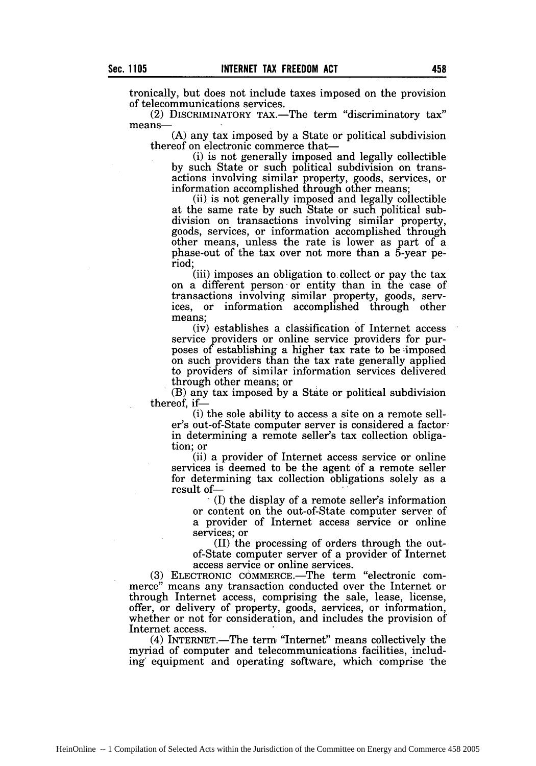tronically, but does not include taxes imposed on the provision of telecommunications services.

(2) DISCRIMINATORY TAX.—The term "discriminatory tax" means-

(A) any tax imposed by a State or political subdivision thereof on electronic commerce that-

(i) is not generally imposed and legally collectible by such State or such political subdivision on transactions involving similar property, goods, services, or information accomplished through other means;

(ii) is not generally imposed and legally collectible at the same rate by such State or such political subdivision on transactions involving similar property, goods, services, or information accomplished through other means, unless the rate is lower as part of a phase-out of the tax over not more than a 5-year period;

(iii) imposes an obligation to collect or pay the tax on a different person **-or** entity than in the case of transactions involving similar property, goods, services, or information accomplished through other means;

(iv) establishes a classification of Internet access service providers or online service providers for purposes of establishing a higher tax rate to be imposed on such providers than the tax rate generally applied to providers of similar information services delivered through other means; or

(B) any tax imposed by a State or political subdivision thereof, if-

(i) the sole ability to access a site on a remote seller's out-of-State computer server is considered a factor in determining a remote seller's tax collection obligation; or

(ii) a provider of Internet access service or online services is deemed to be the agent of a remote seller for determining tax collection obligations solely as a result of—<br> $(I)$  the display of a remote seller's information

or content on the out-of-State computer server of a provider of Internet access service or online services; or

(II) the processing of orders through the outof-State computer server of a provider of Internet access service or online services.

(3) ELECTRONIC COMMERCE.-The term "electronic commerce" means any transaction conducted over the Internet or through Internet access, comprising the sale, lease, license, offer, or delivery of property, goods, services, or information whether or not for consideration, and includes the provision of Internet access.

(4) INTERNET.—The term "Internet" means collectively the myriad of computer and telecommunications facilities, including' equipment and operating software, which comprise the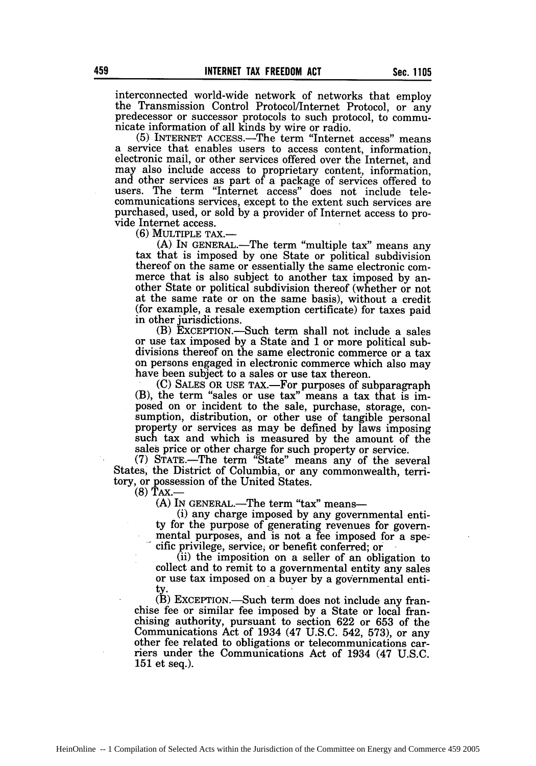interconnected world-wide network of networks that employ the Transmission Control Protocol/Internet Protocol, or any predecessor or successor protocols to such protocol, to communicate information of all kinds by wire or radio.

(5) INTERNET ACCESS.-The term "Internet access" means a service that enables users to access content, information, electronic mail, or other services offered over the Internet, and may also include access to proprietary content, information, and other services as part of a package of services offered to users. The term "Internet access" does not include telecommunications services, except to the extent such services are purchased, used, or sold by a provider of Internet access to provide Internet access.

(6) MULTIPLE TAX.-

(A) In GENERAL.-The term "multiple tax" means any tax that is imposed by one State or political subdivision thereof on the same or essentially the same electronic commerce that is also subject to another tax imposed by another State or political subdivision thereof (whether or not at the same rate or on the same basis), without a credit (for example, a resale exemption certificate) for taxes paid in other jurisdictions.

(B) EXCEPTION.-Such term shall not include a sales or use tax imposed by a State and 1 or more political subdivisions thereof on the same electronic commerce or a tax on persons engaged in electronic commerce which also may have been subject to a sales or use tax thereon.<br>(C) SALES OR USE TAX.—For purposes of subparagraph

(B), the term "sales or use tax" means a tax that is imposed on or incident to the sale, purchase, storage, consumption, distribution, or other use of tangible personal property or services as may be defined by laws imposing such tax and which is measured by the amount **of** the sales price or other charge for such property or service.

**(7)** STATE.-The term "State" means any of the several States, the District of Columbia, or any commonwealth, territory, or possession of the United States.

(8) TAX.-

 $(A)$  In GENERAL.—The term "tax" means—

(i) any charge imposed by any governmental entity for the purpose of generating revenues for govern- mental purposes, and is not a fee imposed for a specific privilege, service, or benefit conferred; or

(ii) the imposition on a seller of an obligation to collect and to remit to a governmental entity any sales or use tax imposed on a buyer by a governmental entity.

(B) EXCEPTION.-Such term does not include any franchise fee or similar fee imposed by a State or local franchising authority, pursuant to section 622 or 653 of the other fee related to obligations or telecommunications carriers under the Communications Act of 1934 (47 U.S.C. 151 et seq.).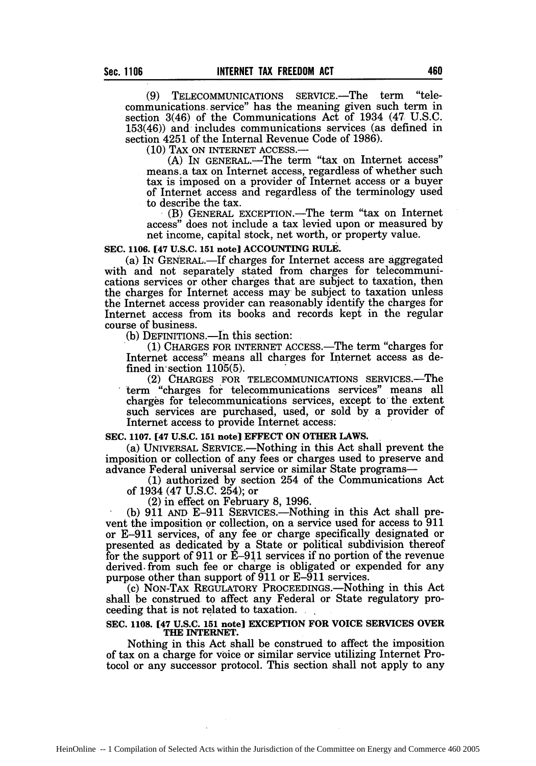(9) TELECOMMUNICATIONS SERVICE.—The term "telecommunications. service" has the meaning given such term in section 3(46) of the Communications Act of 1934 (47 U.S.C. 153(46)) and includes communications services (as defined in section 4251 of the Internal Revenue Code of 1986).

(10) TAX ON INTERNET ACCESS.-

(A) IN GENERAL.—The term "tax on Internet access" means. a tax on Internet access, regardless of whether such tax is imposed on a provider of Internet access or a buyer of Internet access and regardless of the terminology used to describe the tax.

(B) GENERAL EXCEPTION.-The term "tax on Internet access" does not include a tax levied upon or measured by net income, capital stock, net worth, or property value.

### **SEC. 1106. [47 U.S.C. 151 note] ACCOUNTING RULE.**

(a) IN GENERAL.-If charges for Internet access are aggregated with and not separately stated from charges for telecommunications services or other charges that are subject to taxation, then the charges for Internet access may be subject to taxation unless the Internet access provider can reasonably identify the charges for Internet access from its books and records kept in the regular course of business.

(b) DEFINITIONS.—In this section:

(1) CHARGES FOR INTERNET ACCESS.—The term "charges for Internet access" means all charges for Internet access as defined in'section 1105(5).

(2) CHARGES FOR TELECOMMUNICATIONS SERVICES.—The term "charges for telecommunications services" means all charges for telecommunications services, except to' the extent such services are purchased, used, or sold by a provider of Internet access to provide Internet access.

#### **SEC. 1107. [47 U.S.C. 151 note] EFFECT ON** OTHER LAWS.

(a) UNIVERSAL SERVICE.-Nothing in this Act shall prevent the imposition or collection of any fees or charges used to preserve and advance Federal universal service or similar State programs-

**(1)** authorized by section 254 of the Communications Act of 1934 (47 U.S.C. 254); or

(2) in effect on February 8, 1996.

(b) 911 AND E-911 SERVICES.—Nothing in this Act shall prevent the imposition or collection, on a service used for access to 911 or E-911 services, of any fee or charge specifically designated or presented as dedicated by a State or political subdivision thereof for the support of 911 or  $\tilde{E}$ -911 services if no portion of the revenue derived, from such fee or charge is obligated or expended for any purpose other than support of  $911$  or  $E-911$  services.

(c) NON-TAX REGULATORY PROCEEDINGS.-Nothing in this Act shall be construed to affect any Federal or State regulatory proceeding that is not related to taxation.

# **SEC. 1108.** [47 **U.S.C. 151 note] EXCEPTION** FOR **VOICE SERVICES** OVER **THE INTERNET.**

Nothing in this Act shall be construed to affect the imposition of tax on a charge for voice or similar service utilizing Internet Protocol or any successor protocol. This section shall not apply to any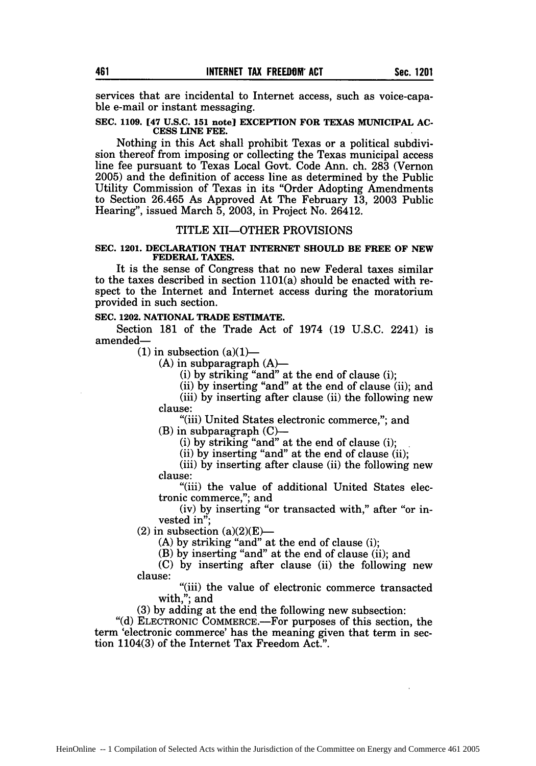services that are incidental to Internet access, such as voice-capable e-mail or instant messaging.

### **SEC. 1109. [47 U.S.C. 151 note] EXCEPTION FOR TEXAS MUNICIPAL AC-CESS LINE FEE.**

Nothing in this Act shall prohibit Texas or a political subdivision thereof from imposing or collecting the Texas municipal access line fee pursuant to Texas Local Govt. Code Ann. ch. **283** (Vernon **2005)** and the definition of access line as determined **by** the Public Utility Commission of Texas in its "Order Adopting Amendments to Section **26.465** As Approved At The February **13, 2003** Public Hearing", issued March **5, 2003,** in Project No. 26412.

### TITLE XII-OTHER PROVISIONS

### **SEC. 1201. DECLARATION THAT INTERNET SHOULD BE FREE OF NEW FEDERAL TAXES.**

It is the sense of Congress that no new Federal taxes similar to the taxes described in section 1101(a) should be enacted with respect to the Internet and Internet access during the moratorium provided in such section.

### **SEC. 1202. NATIONAL TRADE ESTIMATE.**

Section **181** of the Trade Act of 1974 **(19 U.S.C.** 2241) is amended-

 $(1)$  in subsection  $(a)(1)$ —

 $(A)$  in subparagraph  $(A)$ —

(i) by striking "and" at the end of clause (i);

(ii) by inserting "and" at the end of clause (ii); and

(iii) by inserting after clause (ii) the following new clause:

"(iii) United States electronic commerce,"; and  $(B)$  in subparagraph  $(C)$ -

(i) by striking "and" at the end of clause (i);

(ii) by inserting "and" at the end of clause (ii);

(iii) by inserting after clause (ii) the following new clause:

"(iii) the value of additional United States electronic commerce,"; and

(iv) by inserting "or transacted with," after "or invested in";

 $(2)$  in subsection  $(a)(2)(E)$ —

(A) by striking "and" at the end of clause (i);

(B) by inserting "and" at the end of clause (ii); and

- (C) by inserting after clause (ii) the following new clause: "(iii) the value of electronic commerce transacted
	- with,"; and

(3) by adding at the end the following new subsection:

**"(d)** ELECTRONIC COMMERCE.-For purposes of this section, the term 'electronic commerce' has the meaning given that term in section 1104(3) of the Internet Tax Freedom Act.".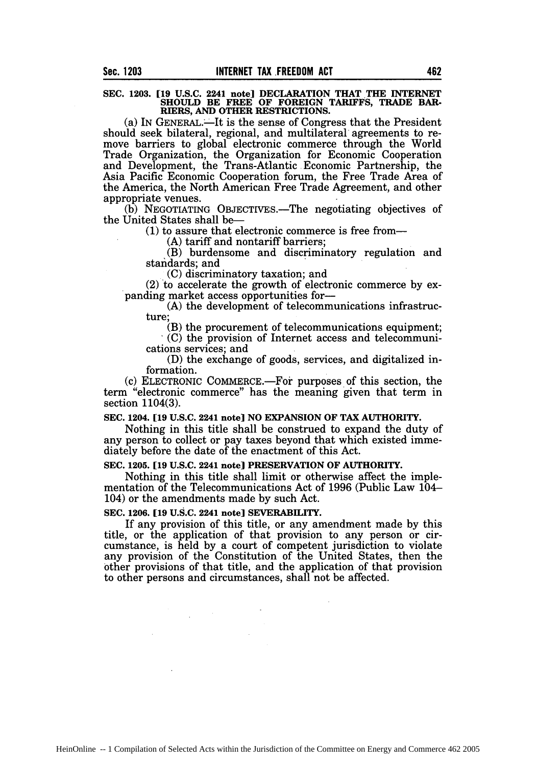## **SEC. 1203. [19 U.S.C. 2241 note] DECLARATION THAT THE INTERNET SHOULD BE FREE OF FOREIGN TARIFFS, TRADE BAR-RIERS, AND OTHER RESTRICTIONS.**

(a) **IN GENERAL.- It** is the sense of Congress that the President should seek bilateral, regional, and multilateral agreements to remove barriers to global electronic commerce through the World Trade Organization, the Organization for Economic Cooperation and Development, the Trans-Atlantic Economic Partnership, the Asia Pacific Economic Cooperation forum, the Free Trade Area of the America, the North American Free Trade Agreement, and other appropriate venues.

(b) NEGOTIATING OBJECTIVES.-The negotiating objectives of the United States shall be-

**(1)** to assure that electronic commerce is free from-

(A) tariff and nontariff barriers;

(B) burdensome and discriminatory regulation and standards; and

(C) discriminatory taxation; and

(2) to accelerate the growth of electronic commerce by expanding market access opportunities for-

(A) the development of telecommunications infrastructure;

(B) the procurement of telecommunications equipment;

(C) the provision of Internet access and telecommunications services; and

(D) the exchange of goods, services, and digitalized information.

(c) ELECTRONIC COMMERCE.-For purposes of this section, the term "electronic commerce" has the meaning given that term in section 1104(3).

### **SEC. 1204. [19 U.S.C. 2241 note] NO** EXPANSION OF TAX **AUTHORITY.**

Nothing in this title shall be construed to expand the duty of any person to collect or pay taxes beyond that which existed immediately before the date of the enactment of this Act.

### **SEC. 1205. [19 U.S.C. 2241 note]** PRESERVATION OF AUTHORITY.

Nothing in this title shall limit or otherwise affect the implementation of the Telecommunications Act of 1996 (Public Law 104- 104) or the amendments made **by** such Act.

### **SEC. 1206. [19 U.S.C. 2241 note] SEVERABILITY.**

If any provision of this title, or any amendment made **by** this title, or the application of that provision to any person or circumstance, is held **by** a court of competent jurisdiction to violate any provision of the Constitution of the United States, then the other provisions of that title, and the application of that provision to other persons and circumstances, shall not be affected.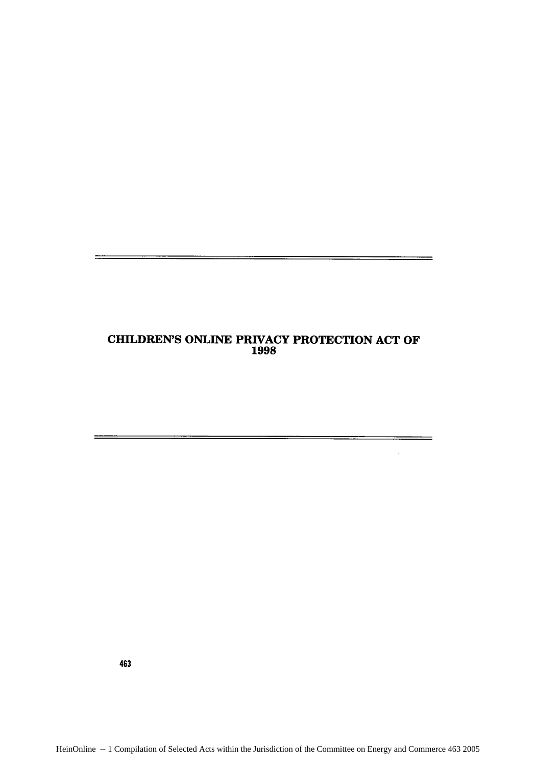### **CHILDREN'S** ONLINE PRIVACY PROTECTION **ACT** OF **1998**

 $\overline{\phantom{0}}$ 

463